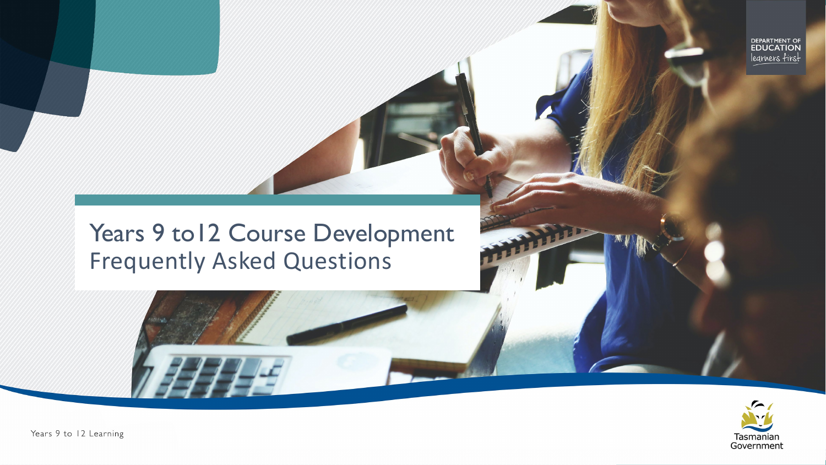DEPARTMENT OF<br>**EDUCATION** legrners first

#### Years 9 to12 Course Development Frequently Asked Questions



Years 9 to 12 Learning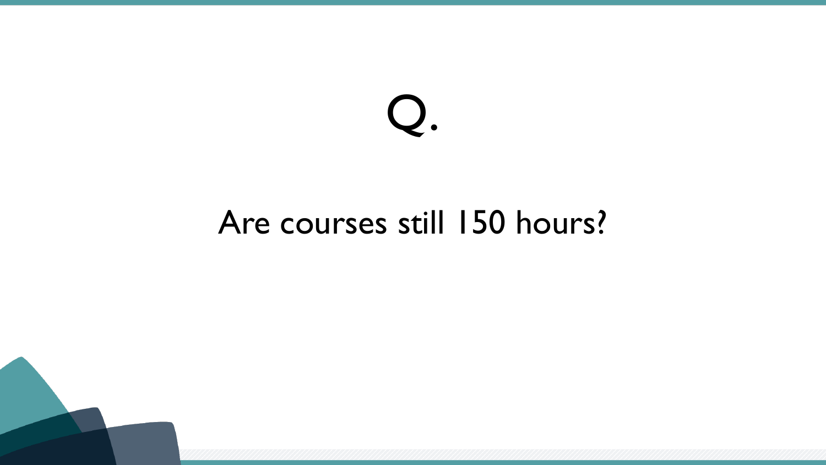#### Are courses still 150 hours?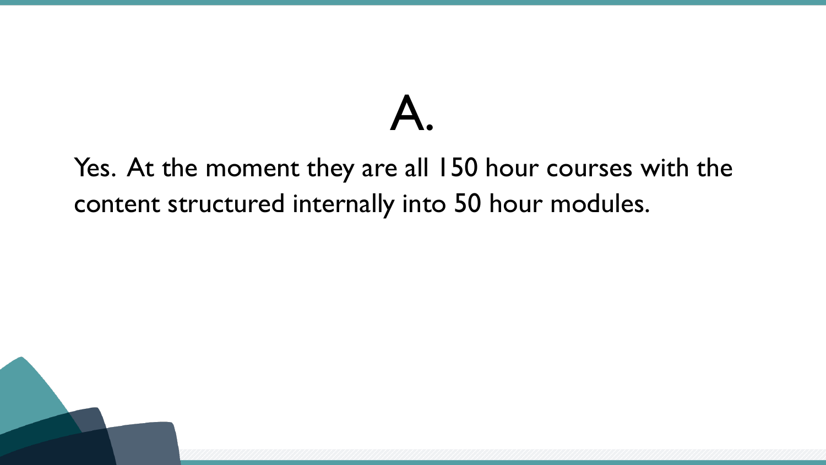Yes. At the moment they are all 150 hour courses with the content structured internally into 50 hour modules.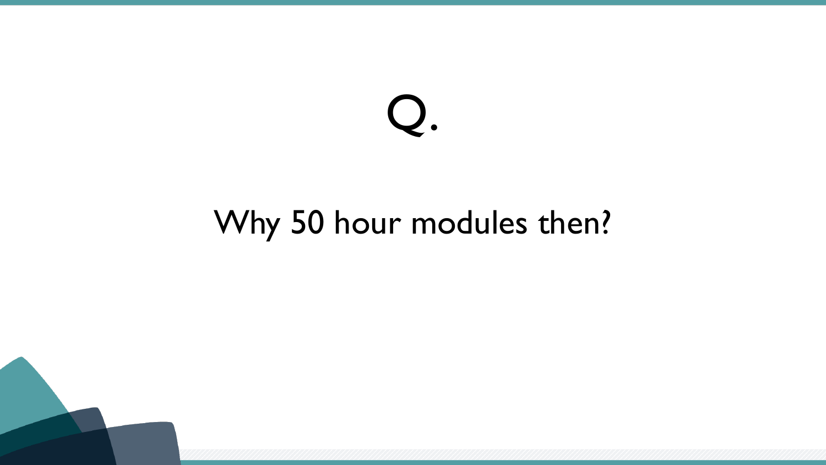#### Why 50 hour modules then?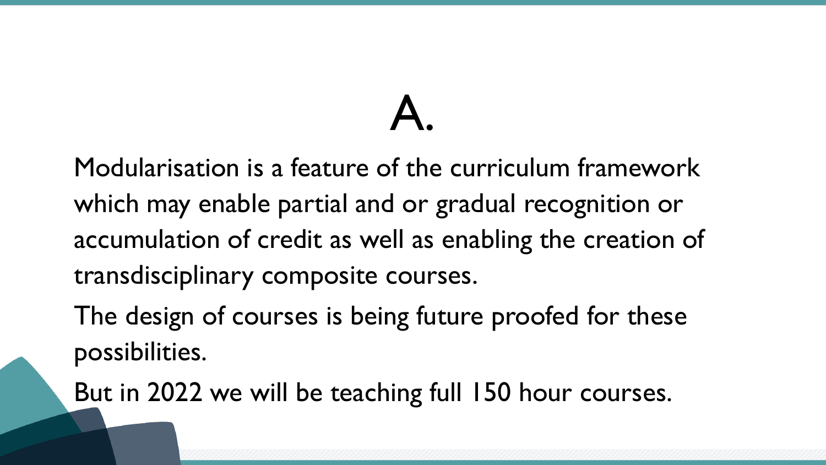Modularisation is a feature of the curriculum framework which may enable partial and or gradual recognition or accumulation of credit as well as enabling the creation of transdisciplinary composite courses.

The design of courses is being future proofed for these possibilities.

But in 2022 we will be teaching full 150 hour courses.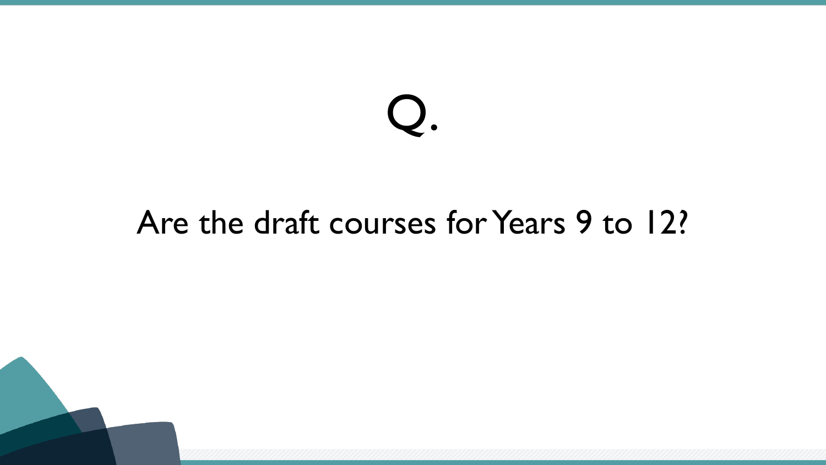#### Are the draft courses for Years 9 to 12?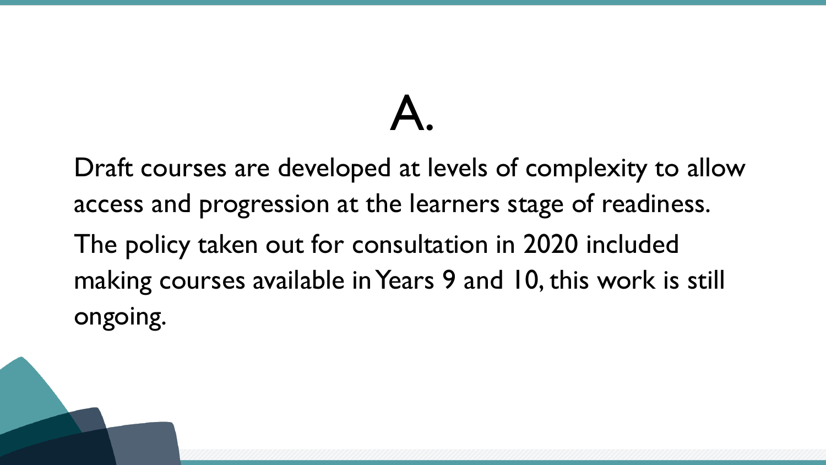Draft courses are developed at levels of complexity to allow access and progression at the learners stage of readiness. The policy taken out for consultation in 2020 included making courses available in Years 9 and 10, this work is still ongoing.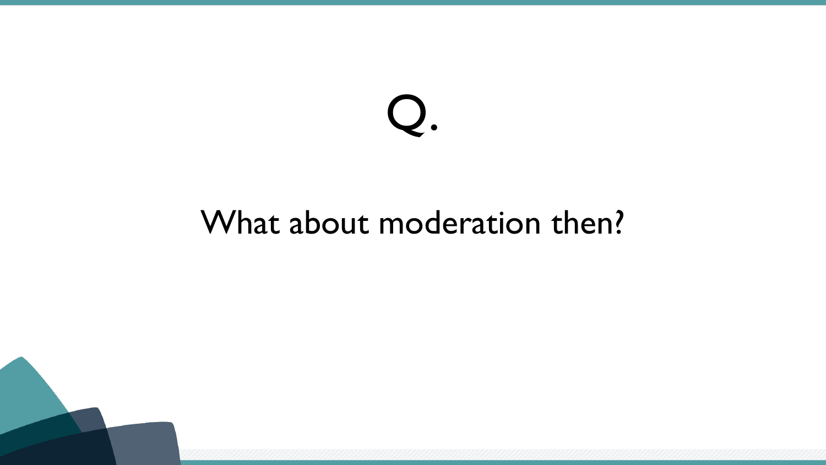#### What about moderation then?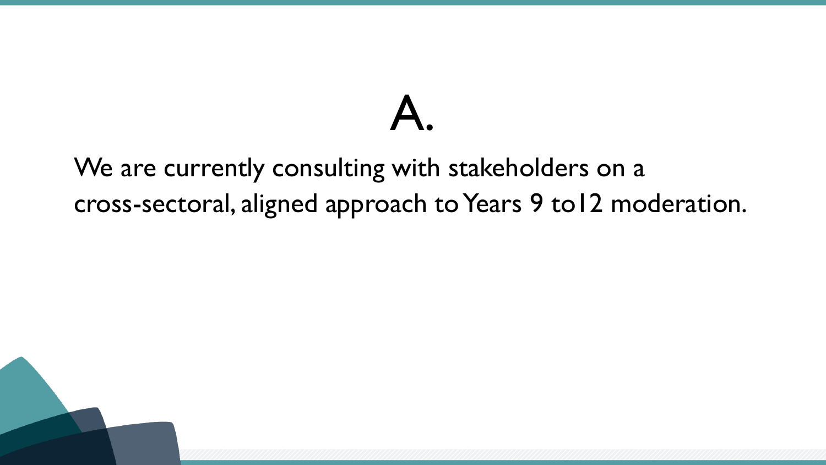#### We are currently consulting with stakeholders on a cross-sectoral, aligned approach to Years 9 to12 moderation.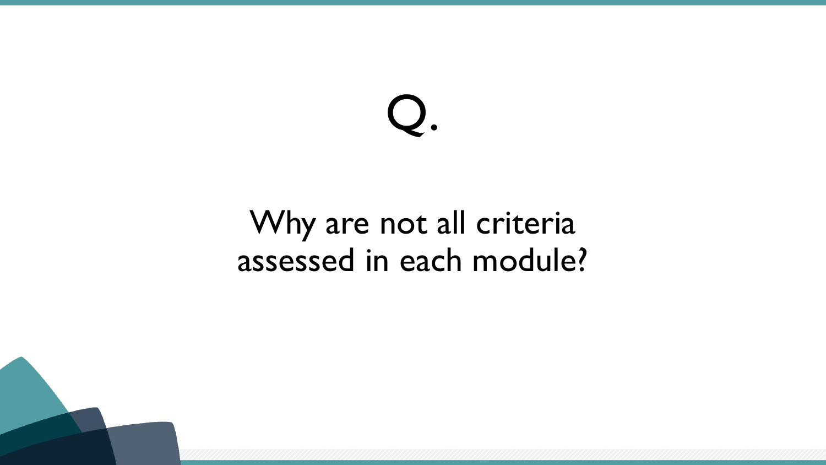#### Why are not all criteria assessed in each module?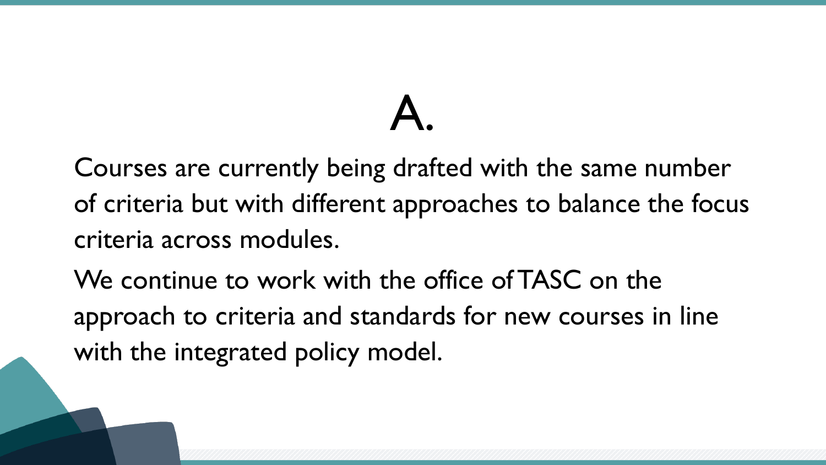Courses are currently being drafted with the same number of criteria but with different approaches to balance the focus criteria across modules.

We continue to work with the office of TASC on the approach to criteria and standards for new courses in line with the integrated policy model.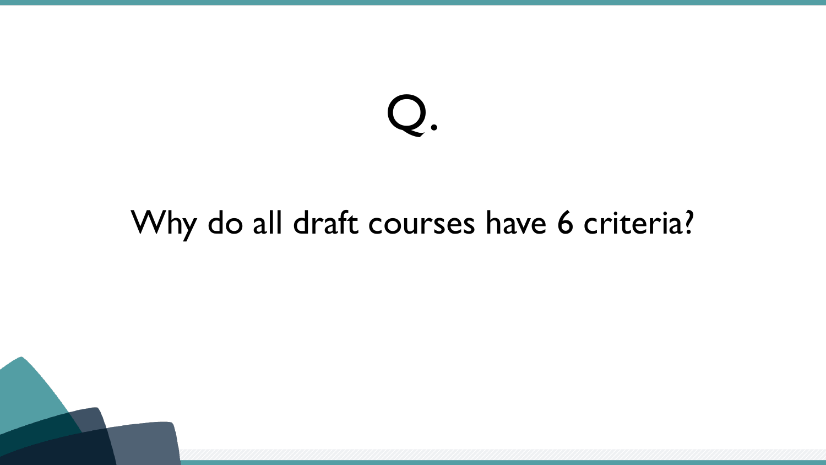#### Why do all draft courses have 6 criteria?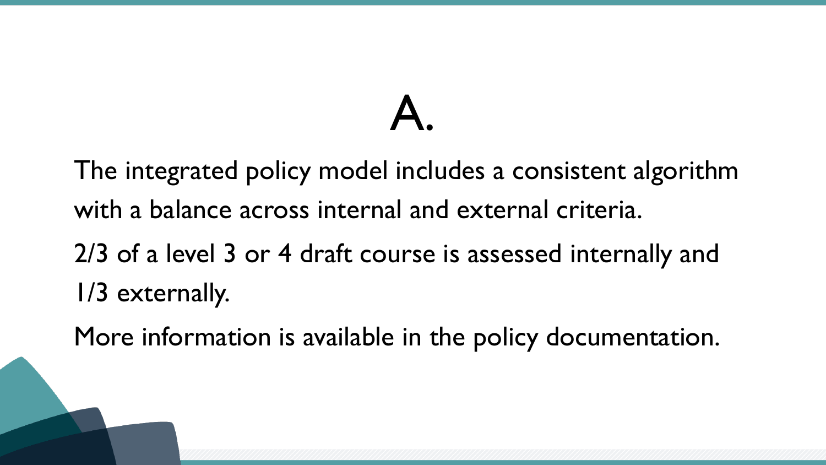The integrated policy model includes a consistent algorithm with a balance across internal and external criteria.

2/3 of a level 3 or 4 draft course is assessed internally and 1/3 externally.

More information is available in the policy documentation.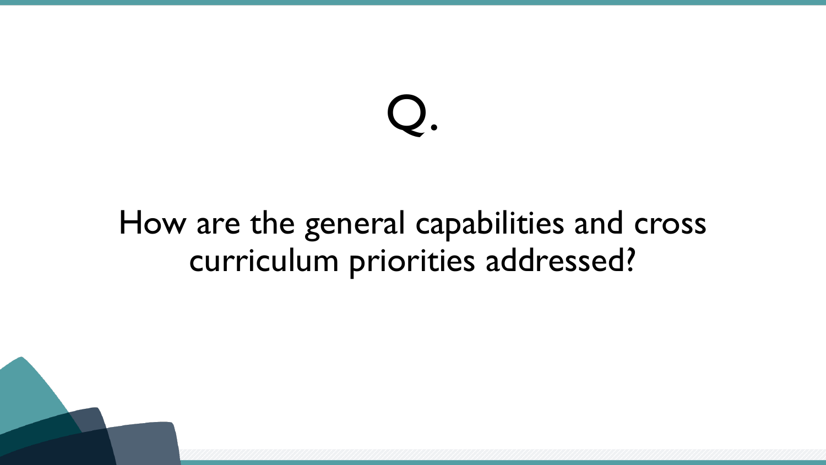#### How are the general capabilities and cross curriculum priorities addressed?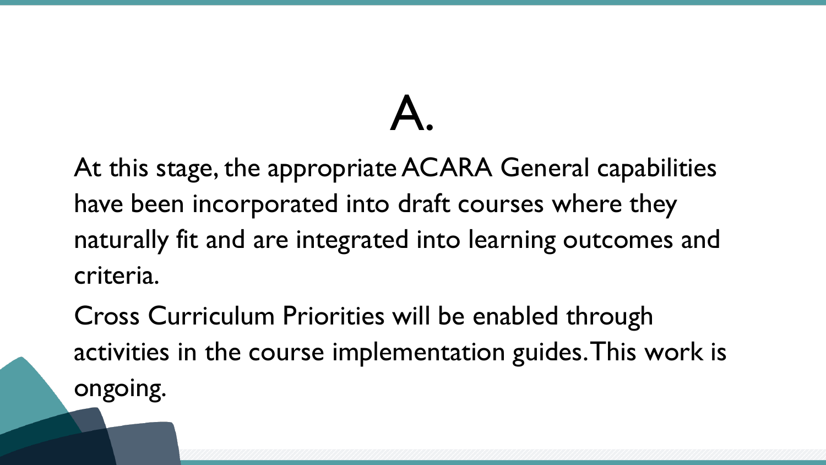At this stage, the appropriate ACARA General capabilities have been incorporated into draft courses where they naturally fit and are integrated into learning outcomes and criteria.

Cross Curriculum Priorities will be enabled through activities in the course implementation guides. This work is ongoing.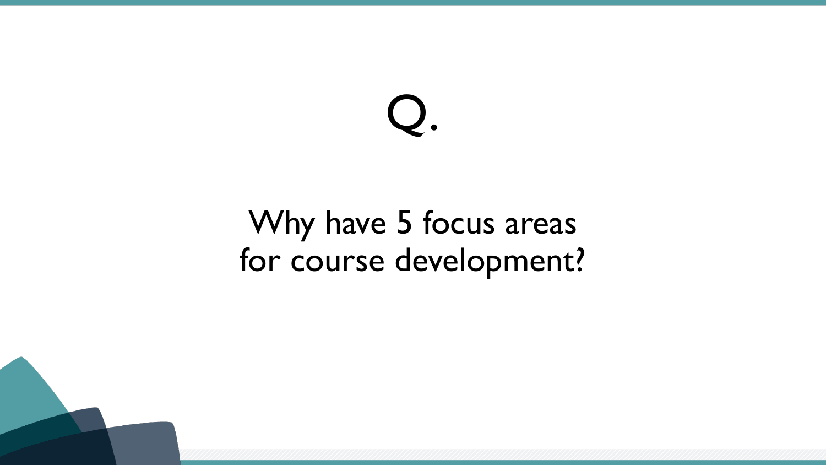#### Why have 5 focus areas for course development?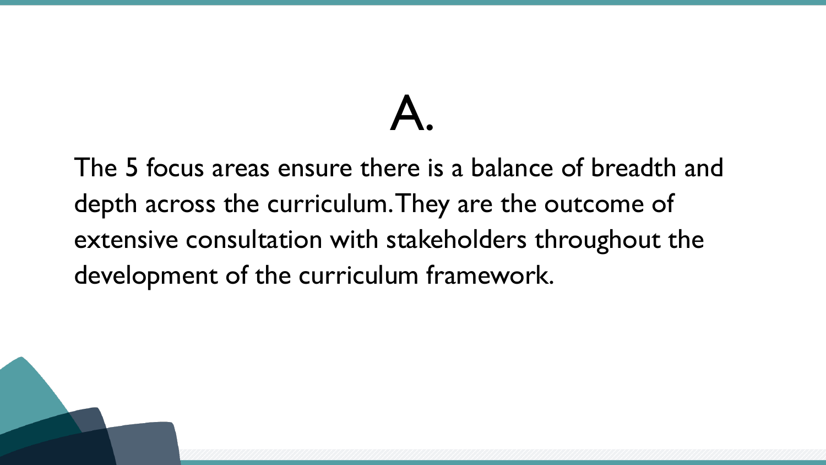The 5 focus areas ensure there is a balance of breadth and depth across the curriculum. They are the outcome of extensive consultation with stakeholders throughout the development of the curriculum framework.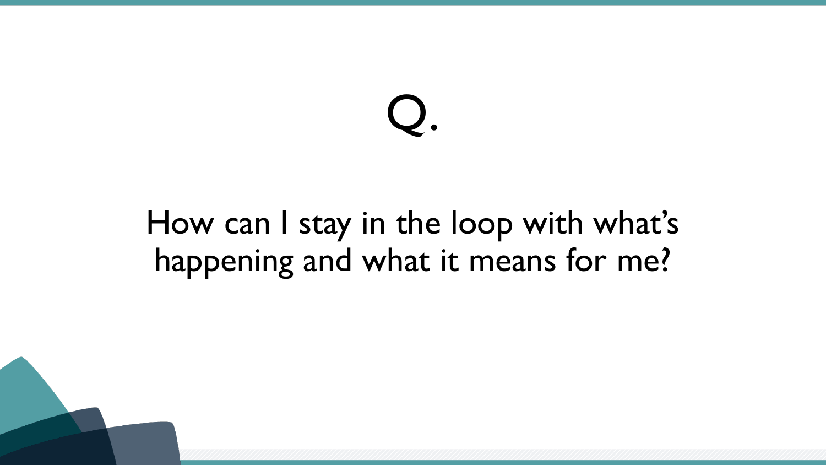#### How can I stay in the loop with what's happening and what it means for me?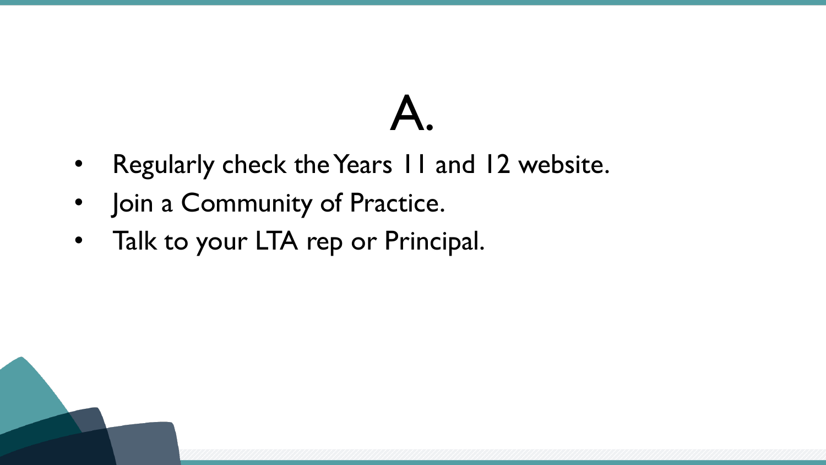- Regularly check the Years 11 and 12 website.
- Join a Community of Practice.
- Talk to your LTA rep or Principal.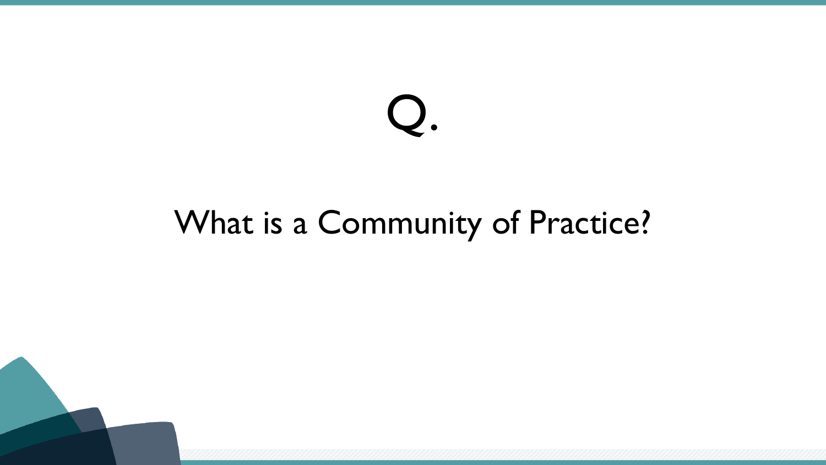#### What is a Community of Practice?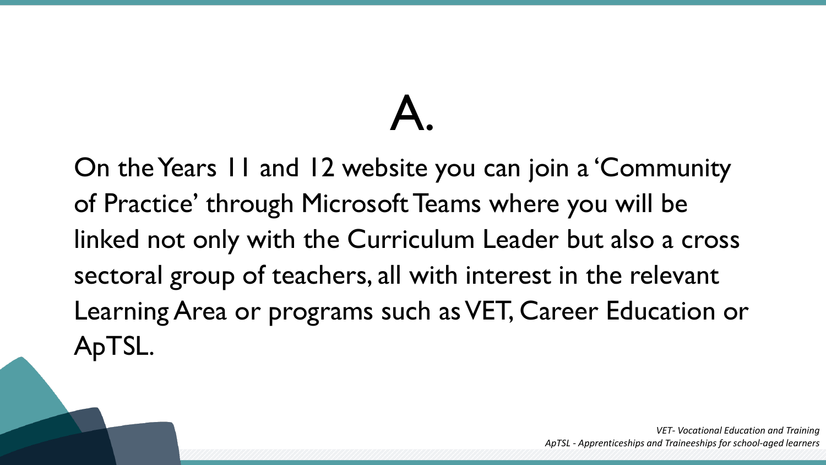On the Years 11 and 12 website you can join a 'Community of Practice' through Microsoft Teams where you will be linked not only with the Curriculum Leader but also a cross sectoral group of teachers, all with interest in the relevant Learning Area or programs such as VET, Career Education or ApTSL.